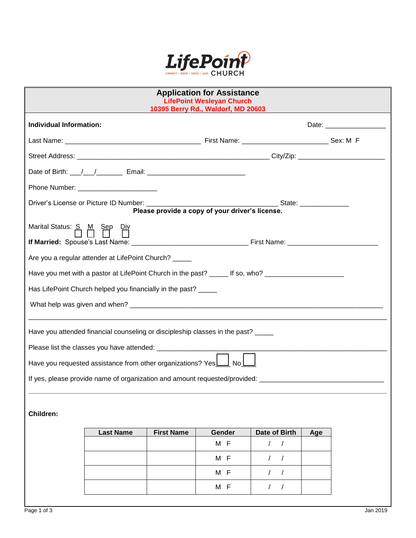

| <b>Application for Assistance</b><br><b>LifePoint Wesleyan Church</b><br>10395 Berry Rd., Waldorf, MD 20603 |                                                                                                                                                                                                                               |                   |        |               |                                                                                                                                                                                                                                |  |  |
|-------------------------------------------------------------------------------------------------------------|-------------------------------------------------------------------------------------------------------------------------------------------------------------------------------------------------------------------------------|-------------------|--------|---------------|--------------------------------------------------------------------------------------------------------------------------------------------------------------------------------------------------------------------------------|--|--|
| Individual Information:                                                                                     |                                                                                                                                                                                                                               |                   |        |               | Date: the contract of the contract of the contract of the contract of the contract of the contract of the contract of the contract of the contract of the contract of the contract of the contract of the contract of the cont |  |  |
|                                                                                                             |                                                                                                                                                                                                                               |                   |        |               |                                                                                                                                                                                                                                |  |  |
|                                                                                                             |                                                                                                                                                                                                                               |                   |        |               |                                                                                                                                                                                                                                |  |  |
|                                                                                                             | Date of Birth: \[ \[ \] \[ \] \] \[ \] \[ \] \[ \] \[ \] \[ \] \[ \] \[ \] \[ \] \[ \] \[ \] \[ \] \[ \] \[ \] \[ \] \[ \] \[ \] \[ \] \[ \] \[ \] \[ \] \[ \] \[ \] \[ \] \[ \] \[ \] \[ \] \[ \] \[ \] \[ \] \[ \] \[ \] \[ |                   |        |               |                                                                                                                                                                                                                                |  |  |
|                                                                                                             | Phone Number: __________________________                                                                                                                                                                                      |                   |        |               |                                                                                                                                                                                                                                |  |  |
| Please provide a copy of your driver's license.                                                             |                                                                                                                                                                                                                               |                   |        |               |                                                                                                                                                                                                                                |  |  |
| Marital Status: S. M. Sep Div                                                                               |                                                                                                                                                                                                                               |                   |        |               |                                                                                                                                                                                                                                |  |  |
|                                                                                                             | Are you a regular attender at LifePoint Church? _____                                                                                                                                                                         |                   |        |               |                                                                                                                                                                                                                                |  |  |
| Have you met with a pastor at LifePoint Church in the past? ______ If so, who? _____________________        |                                                                                                                                                                                                                               |                   |        |               |                                                                                                                                                                                                                                |  |  |
| Has LifePoint Church helped you financially in the past? _____                                              |                                                                                                                                                                                                                               |                   |        |               |                                                                                                                                                                                                                                |  |  |
|                                                                                                             |                                                                                                                                                                                                                               |                   |        |               |                                                                                                                                                                                                                                |  |  |
|                                                                                                             | Have you attended financial counseling or discipleship classes in the past? ____                                                                                                                                              |                   |        |               |                                                                                                                                                                                                                                |  |  |
|                                                                                                             |                                                                                                                                                                                                                               |                   |        |               |                                                                                                                                                                                                                                |  |  |
|                                                                                                             | Have you requested assistance from other organizations? Yes                                                                                                                                                                   |                   | l Nol  |               |                                                                                                                                                                                                                                |  |  |
|                                                                                                             |                                                                                                                                                                                                                               |                   |        |               |                                                                                                                                                                                                                                |  |  |
| <b>Children:</b>                                                                                            |                                                                                                                                                                                                                               |                   |        |               |                                                                                                                                                                                                                                |  |  |
|                                                                                                             | <b>Last Name</b>                                                                                                                                                                                                              | <b>First Name</b> | Gender | Date of Birth | Age                                                                                                                                                                                                                            |  |  |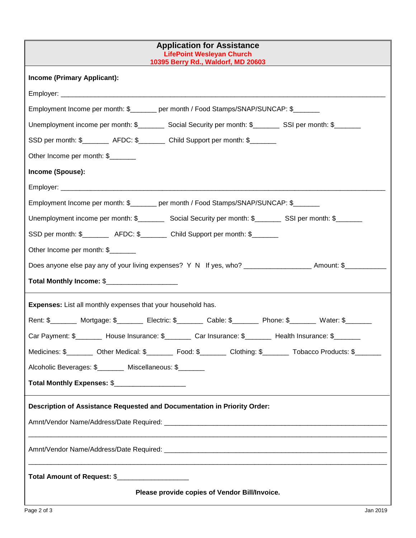| <b>Application for Assistance</b><br><b>LifePoint Wesleyan Church</b><br>10395 Berry Rd., Waldorf, MD 20603       |  |  |  |  |  |  |
|-------------------------------------------------------------------------------------------------------------------|--|--|--|--|--|--|
| <b>Income (Primary Applicant):</b>                                                                                |  |  |  |  |  |  |
|                                                                                                                   |  |  |  |  |  |  |
| Employment Income per month: \$_______ per month / Food Stamps/SNAP/SUNCAP: \$_______                             |  |  |  |  |  |  |
| Unemployment income per month: \$___________ Social Security per month: \$__________ SSI per month: \$_______     |  |  |  |  |  |  |
| SSD per month: \$_________ AFDC: \$________ Child Support per month: \$_______                                    |  |  |  |  |  |  |
| Other Income per month: \$                                                                                        |  |  |  |  |  |  |
| Income (Spouse):                                                                                                  |  |  |  |  |  |  |
|                                                                                                                   |  |  |  |  |  |  |
| Employment Income per month: \$_______ per month / Food Stamps/SNAP/SUNCAP: \$_______                             |  |  |  |  |  |  |
| Unemployment income per month: \$____________ Social Security per month: \$____________ SSI per month: \$________ |  |  |  |  |  |  |
| SSD per month: \$__________ AFDC: \$________ Child Support per month: \$_______                                   |  |  |  |  |  |  |
| Other Income per month: \$                                                                                        |  |  |  |  |  |  |
| Does anyone else pay any of your living expenses? Y N If yes, who? _____________________ Amount: \$____________   |  |  |  |  |  |  |
| Total Monthly Income: \$_____________________                                                                     |  |  |  |  |  |  |
| <b>Expenses:</b> List all monthly expenses that your household has.                                               |  |  |  |  |  |  |
| Rent: \$________ Mortgage: \$_______ Electric: \$_______ Cable: \$_______ Phone: \$_______ Water: \$______        |  |  |  |  |  |  |
| Car Payment: \$________ House Insurance: \$_______ Car Insurance: \$______ Health Insurance: \$_______            |  |  |  |  |  |  |
| Medicines: \$_________ Other Medical: \$________ Food: \$________ Clothing: \$_______ Tobacco Products: \$______  |  |  |  |  |  |  |
| Alcoholic Beverages: \$ _______ Miscellaneous: \$                                                                 |  |  |  |  |  |  |
| Total Monthly Expenses: \$_____________________                                                                   |  |  |  |  |  |  |
| Description of Assistance Requested and Documentation in Priority Order:                                          |  |  |  |  |  |  |
|                                                                                                                   |  |  |  |  |  |  |
|                                                                                                                   |  |  |  |  |  |  |
| Total Amount of Request: \$_____________________                                                                  |  |  |  |  |  |  |
| Please provide copies of Vendor Bill/Invoice.                                                                     |  |  |  |  |  |  |